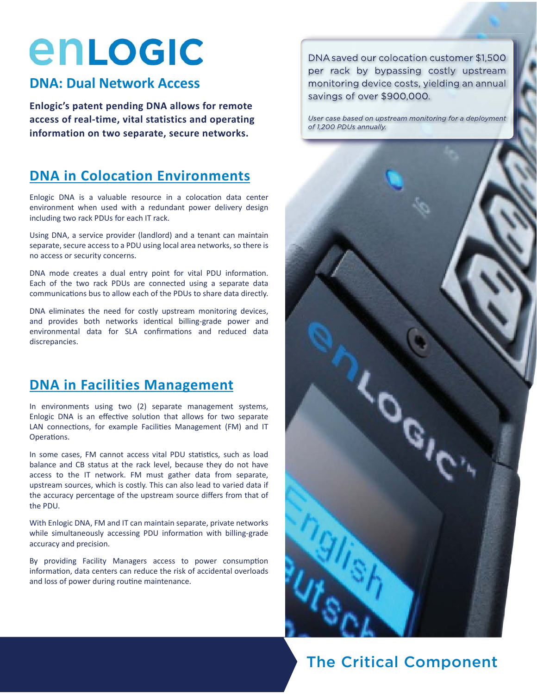# enLogic

### **DNA: Dual Network Access**

**Enlogic's patent pending DNA allows for remote access of real-time, vital statistics and operating information on two separate, secure networks.** 

### **DNA in Colocation Environments**

Enlogic DNA is a valuable resource in a colocation data center environment when used with a redundant power delivery design including two rack PDUs for each IT rack.

Using DNA, a service provider (landlord) and a tenant can maintain separate, secure access to a PDU using local area networks, so there is no access or security concerns.

DNA mode creates a dual entry point for vital PDU information. Each of the two rack PDUs are connected using a separate data communications bus to allow each of the PDUs to share data directly.

DNA eliminates the need for costly upstream monitoring devices, and provides both networks identical billing-grade power and environmental data for SLA confirmations and reduced data discrepancies.

### **DNA in Facilities Management**

In environments using two (2) separate management systems, Enlogic DNA is an effective solution that allows for two separate LAN connections, for example Facilities Management (FM) and IT Operations.

In some cases, FM cannot access vital PDU statistics, such as load balance and CB status at the rack level, because they do not have access to the IT network. FM must gather data from separate, upstream sources, which is costly. This can also lead to varied data if the accuracy percentage of the upstream source differs from that of the PDU.

With Enlogic DNA, FM and IT can maintain separate, private networks while simultaneously accessing PDU information with billing-grade accuracy and precision.

By providing Facility Managers access to power consumption information, data centers can reduce the risk of accidental overloads and loss of power during routine maintenance.

DNA saved our colocation customer \$1,500 per rack by bypassing costly upstream monitoring device costs, yielding an annual savings of over \$900,000.

User case based on upstream monitoring for a deployment of 1,200 PDUs annually.



### The Critical Component